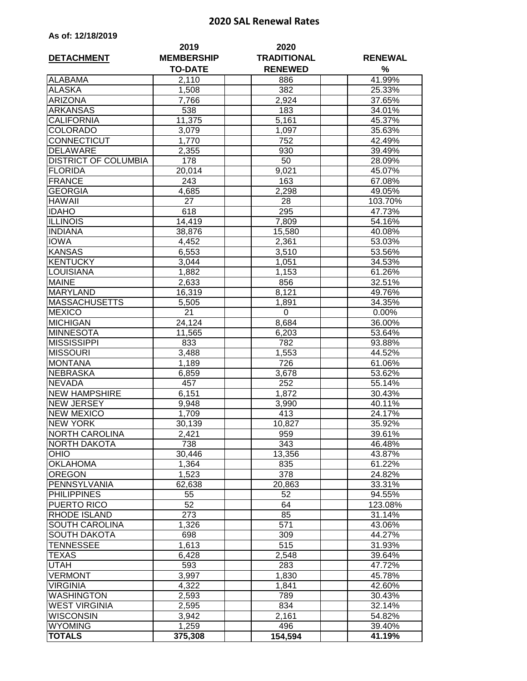## **2020 SAL Renewal Rates**

| As of: 12/18/2019 |  |  |  |  |  |
|-------------------|--|--|--|--|--|
|-------------------|--|--|--|--|--|

|                             | 2019                                | 2020                                 |                     |
|-----------------------------|-------------------------------------|--------------------------------------|---------------------|
| <b>DETACHMENT</b>           | <b>MEMBERSHIP</b><br><b>TO-DATE</b> | <b>TRADITIONAL</b><br><b>RENEWED</b> | <b>RENEWAL</b><br>% |
| <b>ALABAMA</b>              | 2,110                               | 886                                  | 41.99%              |
| <b>ALASKA</b>               | 1,508                               | 382                                  | 25.33%              |
| <b>ARIZONA</b>              | 7,766                               | 2,924                                | 37.65%              |
| <b>ARKANSAS</b>             | 538                                 | 183                                  | 34.01%              |
| <b>CALIFORNIA</b>           | 11,375                              | 5,161                                | 45.37%              |
| <b>COLORADO</b>             | 3,079                               | 1,097                                | 35.63%              |
| CONNECTICUT                 | 1,770                               | 752                                  | 42.49%              |
| <b>DELAWARE</b>             | 2,355                               | 930                                  | 39.49%              |
| <b>DISTRICT OF COLUMBIA</b> | 178                                 | 50                                   | 28.09%              |
| <b>FLORIDA</b>              | 20,014                              | 9,021                                | 45.07%              |
| <b>FRANCE</b>               | 243                                 | 163                                  | 67.08%              |
| <b>GEORGIA</b>              | 4,685                               | 2,298                                | 49.05%              |
| <b>HAWAII</b>               | 27                                  | 28                                   | 103.70%             |
| <b>IDAHO</b>                | 618                                 | 295                                  | 47.73%              |
| <b>ILLINOIS</b>             | 14,419                              | 7,809                                | 54.16%              |
| <b>INDIANA</b>              | 38,876                              | 15,580                               | 40.08%              |
| <b>IOWA</b>                 | 4,452                               | 2,361                                | 53.03%              |
| <b>KANSAS</b>               | 6,553                               | 3,510                                | 53.56%              |
| <b>KENTUCKY</b>             | 3,044                               | 1,051                                | 34.53%              |
| LOUISIANA                   | 1,882                               | 1,153                                | 61.26%              |
| <b>MAINE</b>                | 2,633                               | 856                                  | 32.51%              |
| <b>MARYLAND</b>             | 16,319                              | 8,121                                | 49.76%              |
| <b>MASSACHUSETTS</b>        | $\overline{5,505}$                  | 1,891                                | 34.35%              |
| <b>MEXICO</b>               | $\overline{21}$                     | 0                                    | 0.00%               |
| <b>MICHIGAN</b>             | 24,124                              | 8,684                                | 36.00%              |
| <b>MINNESOTA</b>            | 11,565                              | 6,203                                | 53.64%              |
| <b>MISSISSIPPI</b>          | 833                                 | 782                                  | 93.88%              |
| <b>MISSOURI</b>             | 3,488                               | 1,553                                | 44.52%              |
| <b>MONTANA</b>              | 1,189                               | 726                                  | 61.06%              |
| <b>NEBRASKA</b>             | 6,859                               | 3,678                                | 53.62%              |
| <b>NEVADA</b>               | 457                                 | 252                                  | 55.14%              |
| <b>NEW HAMPSHIRE</b>        | 6,151                               | 1,872                                | 30.43%              |
| <b>NEW JERSEY</b>           | 9,948                               | 3,990                                | 40.11%              |
| <b>NEW MEXICO</b>           | 1,709                               | 413                                  | 24.17%              |
| <b>NEW YORK</b>             | 30,139                              | 10,827                               | 35.92%              |
| <b>NORTH CAROLINA</b>       | 2,421                               | 959                                  | 39.61%              |
| <b>NORTH DAKOTA</b>         | 738                                 | 343                                  | 46.48%              |
| <b>OHIO</b>                 | 30,446                              | 13,356                               | 43.87%              |
| <b>OKLAHOMA</b>             | 1,364                               | 835                                  | 61.22%              |
| <b>OREGON</b>               | 1,523                               | $\overline{378}$                     | 24.82%              |
| PENNSYLVANIA                | 62,638                              | 20,863                               | 33.31%              |
| <b>PHILIPPINES</b>          | 55                                  | 52                                   | 94.55%              |
| PUERTO RICO                 | 52                                  | 64                                   | 123.08%             |
| <b>RHODE ISLAND</b>         | 273                                 | 85                                   | 31.14%              |
| SOUTH CAROLINA              | 1,326                               | 571                                  | 43.06%              |
| <b>SOUTH DAKOTA</b>         | 698                                 | 309                                  | 44.27%              |
| <b>TENNESSEE</b>            | 1,613                               | 515                                  | 31.93%              |
| <b>TEXAS</b>                | 6,428                               | $\overline{2,}548$                   | 39.64%              |
| <b>UTAH</b>                 | 593                                 | 283                                  | 47.72%              |
| <b>VERMONT</b>              | 3,997                               | 1,830                                | 45.78%              |
| <b>VIRGINIA</b>             | 4,322                               | 1,841                                | 42.60%              |
| <b>WASHINGTON</b>           | 2,593                               | 789                                  | 30.43%              |
| <b>WEST VIRGINIA</b>        | 2,595                               | 834                                  | 32.14%              |
| WISCONSIN                   | 3,942                               | 2,161                                | 54.82%              |
| <b>WYOMING</b>              | 1,259                               | 496                                  | 39.40%              |
| <b>TOTALS</b>               | 375,308                             | 154,594                              | 41.19%              |